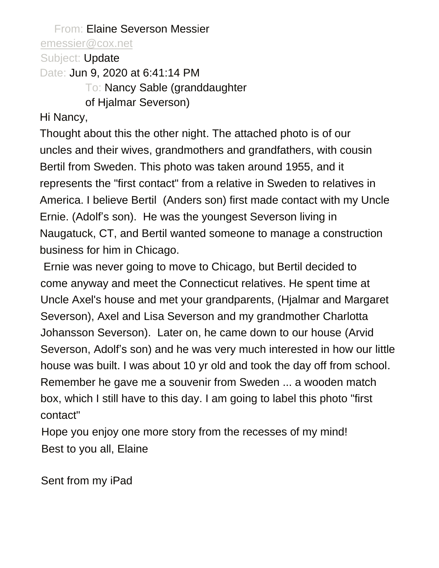From: Elaine Severson Messier [emessier@cox.net](mailto:emessier@cox.net)

Subject: Update

Date: **Jun 9, 2020 at 6:41:14 PM** 

To: Nancy Sable (granddaughter

of Hjalmar Severson)

Hi Nancy,

Thought about this the other night. The attached photo is of our uncles and their wives, grandmothers and grandfathers, with cousin Bertil from Sweden. This photo was taken around 1955, and it represents the "first contact" from a relative in Sweden to relatives in America. I believe Bertil (Anders son) first made contact with my Uncle Ernie. (Adolf's son). He was the youngest Severson living in Naugatuck, CT, and Bertil wanted someone to manage a construction business for him in Chicago.

Ernie was never going to move to Chicago, but Bertil decided to come anyway and meet the Connecticut relatives. He spent time at Uncle Axel's house and met your grandparents, (Hjalmar and Margaret Severson), Axel and Lisa Severson and my grandmother Charlotta Johansson Severson). Later on, he came down to our house (Arvid Severson, Adolf's son) and he was very much interested in how our little house was built. I was about 10 yr old and took the day off from school. Remember he gave me a souvenir from Sweden ... a wooden match box, which I still have to this day. I am going to label this photo "first contact"

Hope you enjoy one more story from the recesses of my mind! Best to you all, Elaine

Sent from my iPad